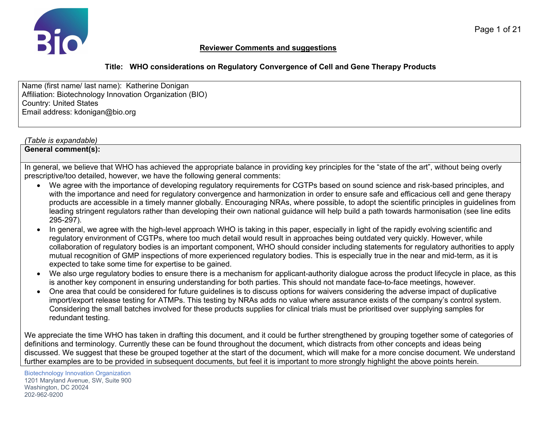

## **Reviewer Comments and suggestions**

## **Title: WHO considerations on Regulatory Convergence of Cell and Gene Therapy Products**

Name (first name/ last name): Katherine Donigan Affiliation: Biotechnology Innovation Organization (BIO) Country: United States Email address: kdonigan@bio.org

## *(Table is expandable)*

**General comment(s):**

In general, we believe that WHO has achieved the appropriate balance in providing key principles for the "state of the art", without being overly prescriptive/too detailed, however, we have the following general comments:

- We agree with the importance of developing regulatory requirements for CGTPs based on sound science and risk-based principles, and with the importance and need for regulatory convergence and harmonization in order to ensure safe and efficacious cell and gene therapy products are accessible in a timely manner globally. Encouraging NRAs, where possible, to adopt the scientific principles in guidelines from leading stringent regulators rather than developing their own national guidance will help build a path towards harmonisation (see line edits 295-297).
- In general, we agree with the high-level approach WHO is taking in this paper, especially in light of the rapidly evolving scientific and regulatory environment of CGTPs, where too much detail would result in approaches being outdated very quickly. However, while collaboration of regulatory bodies is an important component, WHO should consider including statements for regulatory authorities to apply mutual recognition of GMP inspections of more experienced regulatory bodies. This is especially true in the near and mid-term, as it is expected to take some time for expertise to be gained.
- We also urge regulatory bodies to ensure there is a mechanism for applicant-authority dialogue across the product lifecycle in place, as this is another key component in ensuring understanding for both parties. This should not mandate face-to-face meetings, however.
- One area that could be considered for future guidelines is to discuss options for waivers considering the adverse impact of duplicative import/export release testing for ATMPs. This testing by NRAs adds no value where assurance exists of the company's control system. Considering the small batches involved for these products supplies for clinical trials must be prioritised over supplying samples for redundant testing.

We appreciate the time WHO has taken in drafting this document, and it could be further strengthened by grouping together some of categories of definitions and terminology. Currently these can be found throughout the document, which distracts from other concepts and ideas being discussed. We suggest that these be grouped together at the start of the document, which will make for a more concise document. We understand further examples are to be provided in subsequent documents, but feel it is important to more strongly highlight the above points herein.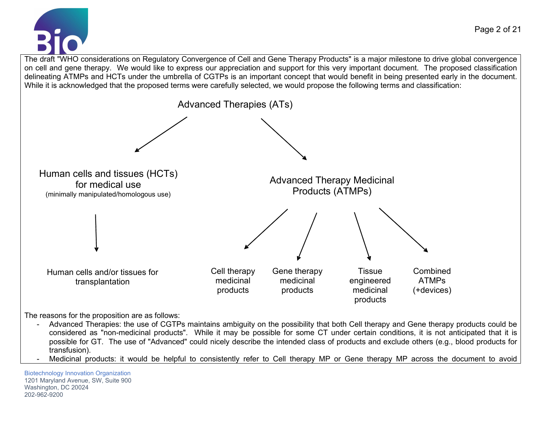The draft "WHO considerations on Regulatory Convergence of Cell and Gene Therapy Products" is a major milestone to drive global convergence on cell and gene therapy. We would like to express our appreciation and support for this very important document. The proposed classification delineating ATMPs and HCTs under the umbrella of CGTPs is an important concept that would benefit in being presented early in the document. While it is acknowledged that the proposed terms were carefully selected, we would propose the following terms and classification:



The reasons for the proposition are as follows:

- Advanced Therapies: the use of CGTPs maintains ambiguity on the possibility that both Cell therapy and Gene therapy products could be considered as "non-medicinal products". While it may be possible for some CT under certain conditions, it is not anticipated that it is possible for GT. The use of "Advanced" could nicely describe the intended class of products and exclude others (e.g., blood products for transfusion).
- Medicinal products: it would be helpful to consistently refer to Cell therapy MP or Gene therapy MP across the document to avoid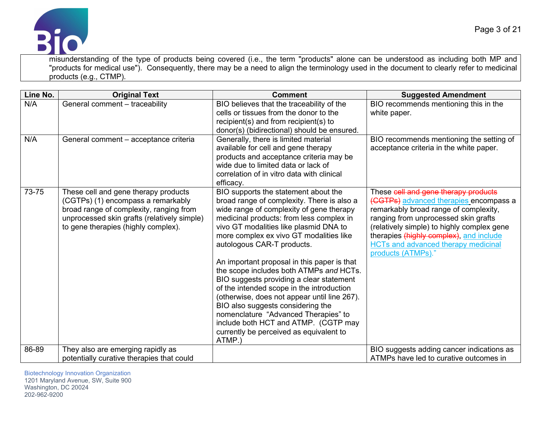

misunderstanding of the type of products being covered (i.e., the term "products" alone can be understood as including both MP and "products for medical use"). Consequently, there may be a need to align the terminology used in the document to clearly refer to medicinal products (e.g., CTMP).

| Line No. | <b>Original Text</b>                                                                                                                                                                                        | <b>Comment</b>                                                                                                                                                                                                                                                                                                                                                                                                                                                                                                                                                                                                                                                                                             | <b>Suggested Amendment</b>                                                                                                                                                                                                                                                                                                   |
|----------|-------------------------------------------------------------------------------------------------------------------------------------------------------------------------------------------------------------|------------------------------------------------------------------------------------------------------------------------------------------------------------------------------------------------------------------------------------------------------------------------------------------------------------------------------------------------------------------------------------------------------------------------------------------------------------------------------------------------------------------------------------------------------------------------------------------------------------------------------------------------------------------------------------------------------------|------------------------------------------------------------------------------------------------------------------------------------------------------------------------------------------------------------------------------------------------------------------------------------------------------------------------------|
| N/A      | General comment - traceability                                                                                                                                                                              | BIO believes that the traceability of the<br>cells or tissues from the donor to the<br>recipient(s) and from recipient(s) to<br>donor(s) (bidirectional) should be ensured.                                                                                                                                                                                                                                                                                                                                                                                                                                                                                                                                | BIO recommends mentioning this in the<br>white paper.                                                                                                                                                                                                                                                                        |
| N/A      | General comment - acceptance criteria                                                                                                                                                                       | Generally, there is limited material<br>available for cell and gene therapy<br>products and acceptance criteria may be<br>wide due to limited data or lack of<br>correlation of in vitro data with clinical<br>efficacy.                                                                                                                                                                                                                                                                                                                                                                                                                                                                                   | BIO recommends mentioning the setting of<br>acceptance criteria in the white paper.                                                                                                                                                                                                                                          |
| 73-75    | These cell and gene therapy products<br>(CGTPs) (1) encompass a remarkably<br>broad range of complexity, ranging from<br>unprocessed skin grafts (relatively simple)<br>to gene therapies (highly complex). | BIO supports the statement about the<br>broad range of complexity. There is also a<br>wide range of complexity of gene therapy<br>medicinal products: from less complex in<br>vivo GT modalities like plasmid DNA to<br>more complex ex vivo GT modalities like<br>autologous CAR-T products.<br>An important proposal in this paper is that<br>the scope includes both ATMPs and HCTs.<br>BIO suggests providing a clear statement<br>of the intended scope in the introduction<br>(otherwise, does not appear until line 267).<br>BIO also suggests considering the<br>nomenclature "Advanced Therapies" to<br>include both HCT and ATMP. (CGTP may<br>currently be perceived as equivalent to<br>ATMP.) | These cell and gene therapy products<br>(CGTPs) advanced therapies encompass a<br>remarkably broad range of complexity,<br>ranging from unprocessed skin grafts<br>(relatively simple) to highly complex gene<br>therapies (highly complex), and include<br><b>HCTs and advanced therapy medicinal</b><br>products (ATMPs)." |
| 86-89    | They also are emerging rapidly as<br>potentially curative therapies that could                                                                                                                              |                                                                                                                                                                                                                                                                                                                                                                                                                                                                                                                                                                                                                                                                                                            | BIO suggests adding cancer indications as<br>ATMPs have led to curative outcomes in                                                                                                                                                                                                                                          |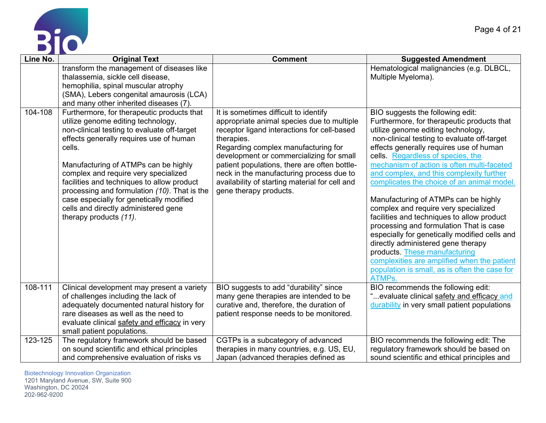



| Line No. | <b>Original Text</b>                                                                                                                                                                                                                                                                                                                                                                                                                                                             | <b>Comment</b>                                                                                                                                                                                                                                                                                                                                                                                              | <b>Suggested Amendment</b>                                                                                                                                                                                                                                                                                                                                                                                                                                                                                                                                                                                                                                                                                                                                                                                   |
|----------|----------------------------------------------------------------------------------------------------------------------------------------------------------------------------------------------------------------------------------------------------------------------------------------------------------------------------------------------------------------------------------------------------------------------------------------------------------------------------------|-------------------------------------------------------------------------------------------------------------------------------------------------------------------------------------------------------------------------------------------------------------------------------------------------------------------------------------------------------------------------------------------------------------|--------------------------------------------------------------------------------------------------------------------------------------------------------------------------------------------------------------------------------------------------------------------------------------------------------------------------------------------------------------------------------------------------------------------------------------------------------------------------------------------------------------------------------------------------------------------------------------------------------------------------------------------------------------------------------------------------------------------------------------------------------------------------------------------------------------|
|          | transform the management of diseases like<br>thalassemia, sickle cell disease,<br>hemophilia, spinal muscular atrophy<br>(SMA), Lebers congenital amaurosis (LCA)<br>and many other inherited diseases (7).                                                                                                                                                                                                                                                                      |                                                                                                                                                                                                                                                                                                                                                                                                             | Hematological malignancies (e.g. DLBCL,<br>Multiple Myeloma).                                                                                                                                                                                                                                                                                                                                                                                                                                                                                                                                                                                                                                                                                                                                                |
| 104-108  | Furthermore, for therapeutic products that<br>utilize genome editing technology,<br>non-clinical testing to evaluate off-target<br>effects generally requires use of human<br>cells.<br>Manufacturing of ATMPs can be highly<br>complex and require very specialized<br>facilities and techniques to allow product<br>processing and formulation (10). That is the<br>case especially for genetically modified<br>cells and directly administered gene<br>therapy products (11). | It is sometimes difficult to identify<br>appropriate animal species due to multiple<br>receptor ligand interactions for cell-based<br>therapies.<br>Regarding complex manufacturing for<br>development or commercializing for small<br>patient populations, there are often bottle-<br>neck in the manufacturing process due to<br>availability of starting material for cell and<br>gene therapy products. | BIO suggests the following edit:<br>Furthermore, for therapeutic products that<br>utilize genome editing technology,<br>non-clinical testing to evaluate off-target<br>effects generally requires use of human<br>cells. Regardless of species, the<br>mechanism of action is often multi-faceted<br>and complex, and this complexity further<br>complicates the choice of an animal model.<br>Manufacturing of ATMPs can be highly<br>complex and require very specialized<br>facilities and techniques to allow product<br>processing and formulation That is case<br>especially for genetically modified cells and<br>directly administered gene therapy<br>products. These manufacturing<br>complexities are amplified when the patient<br>population is small, as is often the case for<br><b>ATMPs</b> |
| 108-111  | Clinical development may present a variety<br>of challenges including the lack of<br>adequately documented natural history for<br>rare diseases as well as the need to<br>evaluate clinical safety and efficacy in very<br>small patient populations.                                                                                                                                                                                                                            | BIO suggests to add "durability" since<br>many gene therapies are intended to be<br>curative and, therefore, the duration of<br>patient response needs to be monitored.                                                                                                                                                                                                                                     | BIO recommends the following edit:<br>"evaluate clinical safety and efficacy and<br>durability in very small patient populations                                                                                                                                                                                                                                                                                                                                                                                                                                                                                                                                                                                                                                                                             |
| 123-125  | The regulatory framework should be based<br>on sound scientific and ethical principles<br>and comprehensive evaluation of risks vs                                                                                                                                                                                                                                                                                                                                               | CGTPs is a subcategory of advanced<br>therapies in many countries, e.g. US, EU,<br>Japan (advanced therapies defined as                                                                                                                                                                                                                                                                                     | BIO recommends the following edit: The<br>regulatory framework should be based on<br>sound scientific and ethical principles and                                                                                                                                                                                                                                                                                                                                                                                                                                                                                                                                                                                                                                                                             |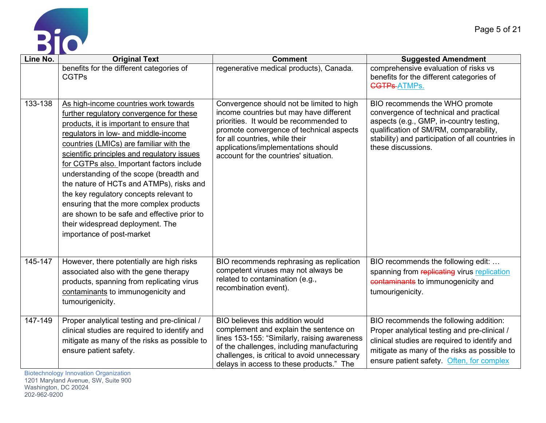

| Line No. | <b>Original Text</b>                                                                                                                                                                                                                                                                                                                                                                                                                                                                                                                                                                                      | <b>Comment</b>                                                                                                                                                                                                                                                                               | <b>Suggested Amendment</b>                                                                                                                                                                                                              |
|----------|-----------------------------------------------------------------------------------------------------------------------------------------------------------------------------------------------------------------------------------------------------------------------------------------------------------------------------------------------------------------------------------------------------------------------------------------------------------------------------------------------------------------------------------------------------------------------------------------------------------|----------------------------------------------------------------------------------------------------------------------------------------------------------------------------------------------------------------------------------------------------------------------------------------------|-----------------------------------------------------------------------------------------------------------------------------------------------------------------------------------------------------------------------------------------|
|          | benefits for the different categories of<br><b>CGTPs</b>                                                                                                                                                                                                                                                                                                                                                                                                                                                                                                                                                  | regenerative medical products), Canada.                                                                                                                                                                                                                                                      | comprehensive evaluation of risks vs<br>benefits for the different categories of<br><b>CGTPs-ATMPs.</b>                                                                                                                                 |
| 133-138  | As high-income countries work towards<br>further regulatory convergence for these<br>products, it is important to ensure that<br>regulators in low- and middle-income<br>countries (LMICs) are familiar with the<br>scientific principles and regulatory issues<br>for CGTPs also. Important factors include<br>understanding of the scope (breadth and<br>the nature of HCTs and ATMPs), risks and<br>the key regulatory concepts relevant to<br>ensuring that the more complex products<br>are shown to be safe and effective prior to<br>their widespread deployment. The<br>importance of post-market | Convergence should not be limited to high<br>income countries but may have different<br>priorities. It would be recommended to<br>promote convergence of technical aspects<br>for all countries, while their<br>applications/implementations should<br>account for the countries' situation. | BIO recommends the WHO promote<br>convergence of technical and practical<br>aspects (e.g., GMP, in-country testing,<br>qualification of SM/RM, comparability,<br>stability) and participation of all countries in<br>these discussions. |
| 145-147  | However, there potentially are high risks<br>associated also with the gene therapy<br>products, spanning from replicating virus<br>contaminants to immunogenicity and<br>tumourigenicity.                                                                                                                                                                                                                                                                                                                                                                                                                 | BIO recommends rephrasing as replication<br>competent viruses may not always be<br>related to contamination (e.g.,<br>recombination event).                                                                                                                                                  | BIO recommends the following edit:<br>spanning from replicating virus replication<br>contaminants to immunogenicity and<br>tumourigenicity.                                                                                             |
| 147-149  | Proper analytical testing and pre-clinical /<br>clinical studies are required to identify and<br>mitigate as many of the risks as possible to<br>ensure patient safety.                                                                                                                                                                                                                                                                                                                                                                                                                                   | BIO believes this addition would<br>complement and explain the sentence on<br>lines 153-155: "Similarly, raising awareness<br>of the challenges, including manufacturing<br>challenges, is critical to avoid unnecessary<br>delays in access to these products." The                         | BIO recommends the following addition:<br>Proper analytical testing and pre-clinical /<br>clinical studies are required to identify and<br>mitigate as many of the risks as possible to<br>ensure patient safety. Often, for complex    |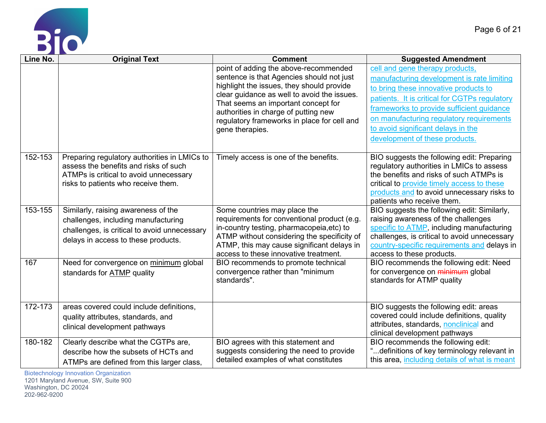

| Line No. | <b>Original Text</b>                                                                                                                                                   | <b>Comment</b>                                                                                                                                                                                                                                                                                                                  | <b>Suggested Amendment</b>                                                                                                                                                                                                                                                                                                               |
|----------|------------------------------------------------------------------------------------------------------------------------------------------------------------------------|---------------------------------------------------------------------------------------------------------------------------------------------------------------------------------------------------------------------------------------------------------------------------------------------------------------------------------|------------------------------------------------------------------------------------------------------------------------------------------------------------------------------------------------------------------------------------------------------------------------------------------------------------------------------------------|
|          |                                                                                                                                                                        | point of adding the above-recommended<br>sentence is that Agencies should not just<br>highlight the issues, they should provide<br>clear guidance as well to avoid the issues.<br>That seems an important concept for<br>authorities in charge of putting new<br>regulatory frameworks in place for cell and<br>gene therapies. | cell and gene therapy products,<br>manufacturing development is rate limiting<br>to bring these innovative products to<br>patients. It is critical for CGTPs regulatory<br>frameworks to provide sufficient guidance<br>on manufacturing regulatory requirements<br>to avoid significant delays in the<br>development of these products. |
| 152-153  | Preparing regulatory authorities in LMICs to<br>assess the benefits and risks of such<br>ATMPs is critical to avoid unnecessary<br>risks to patients who receive them. | Timely access is one of the benefits.                                                                                                                                                                                                                                                                                           | BIO suggests the following edit: Preparing<br>regulatory authorities in LMICs to assess<br>the benefits and risks of such ATMPs is<br>critical to provide timely access to these<br>products and to avoid unnecessary risks to<br>patients who receive them.                                                                             |
| 153-155  | Similarly, raising awareness of the<br>challenges, including manufacturing<br>challenges, is critical to avoid unnecessary<br>delays in access to these products.      | Some countries may place the<br>requirements for conventional product (e.g.<br>in-country testing, pharmacopeia, etc) to<br>ATMP without considering the specificity of<br>ATMP, this may cause significant delays in<br>access to these innovative treatment.                                                                  | BIO suggests the following edit: Similarly,<br>raising awareness of the challenges<br>specific to ATMP, including manufacturing<br>challenges, is critical to avoid unnecessary<br>country-specific requirements and delays in<br>access to these products.                                                                              |
| 167      | Need for convergence on minimum global<br>standards for <b>ATMP</b> quality                                                                                            | BIO recommends to promote technical<br>convergence rather than "minimum<br>standards".                                                                                                                                                                                                                                          | BIO recommends the following edit: Need<br>for convergence on minimum global<br>standards for ATMP quality                                                                                                                                                                                                                               |
| 172-173  | areas covered could include definitions,<br>quality attributes, standards, and<br>clinical development pathways                                                        |                                                                                                                                                                                                                                                                                                                                 | BIO suggests the following edit: areas<br>covered could include definitions, quality<br>attributes, standards, nonclinical and<br>clinical development pathways                                                                                                                                                                          |
| 180-182  | Clearly describe what the CGTPs are,<br>describe how the subsets of HCTs and<br>ATMPs are defined from this larger class,                                              | BIO agrees with this statement and<br>suggests considering the need to provide<br>detailed examples of what constitutes                                                                                                                                                                                                         | BIO recommends the following edit:<br>"definitions of key terminology relevant in<br>this area, including details of what is meant                                                                                                                                                                                                       |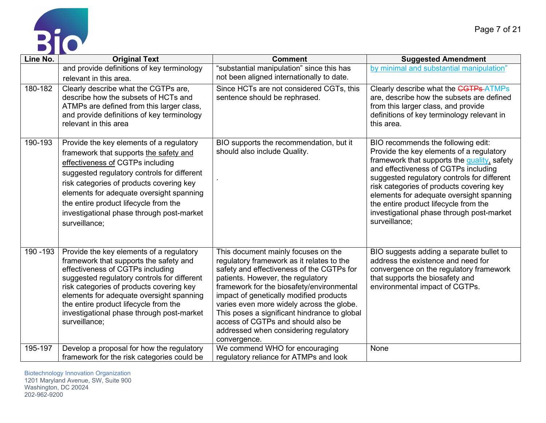

| Line No.  | <b>Original Text</b>                                                                                                                                                                                                                                                                                                                                                 | <b>Comment</b>                                                                                                                                                                                                                                                                                                                                                                                                                                         | <b>Suggested Amendment</b>                                                                                                                                                                                                                                                                                                                                                                                          |
|-----------|----------------------------------------------------------------------------------------------------------------------------------------------------------------------------------------------------------------------------------------------------------------------------------------------------------------------------------------------------------------------|--------------------------------------------------------------------------------------------------------------------------------------------------------------------------------------------------------------------------------------------------------------------------------------------------------------------------------------------------------------------------------------------------------------------------------------------------------|---------------------------------------------------------------------------------------------------------------------------------------------------------------------------------------------------------------------------------------------------------------------------------------------------------------------------------------------------------------------------------------------------------------------|
|           | and provide definitions of key terminology                                                                                                                                                                                                                                                                                                                           | "substantial manipulation" since this has                                                                                                                                                                                                                                                                                                                                                                                                              | by minimal and substantial manipulation"                                                                                                                                                                                                                                                                                                                                                                            |
|           | relevant in this area.                                                                                                                                                                                                                                                                                                                                               | not been aligned internationally to date.                                                                                                                                                                                                                                                                                                                                                                                                              |                                                                                                                                                                                                                                                                                                                                                                                                                     |
| 180-182   | Clearly describe what the CGTPs are,<br>describe how the subsets of HCTs and<br>ATMPs are defined from this larger class,<br>and provide definitions of key terminology<br>relevant in this area                                                                                                                                                                     | Since HCTs are not considered CGTs, this<br>sentence should be rephrased.                                                                                                                                                                                                                                                                                                                                                                              | Clearly describe what the CGTPs-ATMPs<br>are, describe how the subsets are defined<br>from this larger class, and provide<br>definitions of key terminology relevant in<br>this area.                                                                                                                                                                                                                               |
| 190-193   | Provide the key elements of a regulatory<br>framework that supports the safety and<br>effectiveness of CGTPs including<br>suggested regulatory controls for different<br>risk categories of products covering key<br>elements for adequate oversight spanning<br>the entire product lifecycle from the<br>investigational phase through post-market<br>surveillance; | BIO supports the recommendation, but it<br>should also include Quality.                                                                                                                                                                                                                                                                                                                                                                                | BIO recommends the following edit:<br>Provide the key elements of a regulatory<br>framework that supports the quality, safety<br>and effectiveness of CGTPs including<br>suggested regulatory controls for different<br>risk categories of products covering key<br>elements for adequate oversight spanning<br>the entire product lifecycle from the<br>investigational phase through post-market<br>surveillance; |
| 190 - 193 | Provide the key elements of a regulatory<br>framework that supports the safety and<br>effectiveness of CGTPs including<br>suggested regulatory controls for different<br>risk categories of products covering key<br>elements for adequate oversight spanning<br>the entire product lifecycle from the<br>investigational phase through post-market<br>surveillance; | This document mainly focuses on the<br>regulatory framework as it relates to the<br>safety and effectiveness of the CGTPs for<br>patients. However, the regulatory<br>framework for the biosafety/environmental<br>impact of genetically modified products<br>varies even more widely across the globe.<br>This poses a significant hindrance to global<br>access of CGTPs and should also be<br>addressed when considering regulatory<br>convergence. | BIO suggests adding a separate bullet to<br>address the existence and need for<br>convergence on the regulatory framework<br>that supports the biosafety and<br>environmental impact of CGTPs.                                                                                                                                                                                                                      |
| 195-197   | Develop a proposal for how the regulatory<br>framework for the risk categories could be                                                                                                                                                                                                                                                                              | We commend WHO for encouraging<br>regulatory reliance for ATMPs and look                                                                                                                                                                                                                                                                                                                                                                               | None                                                                                                                                                                                                                                                                                                                                                                                                                |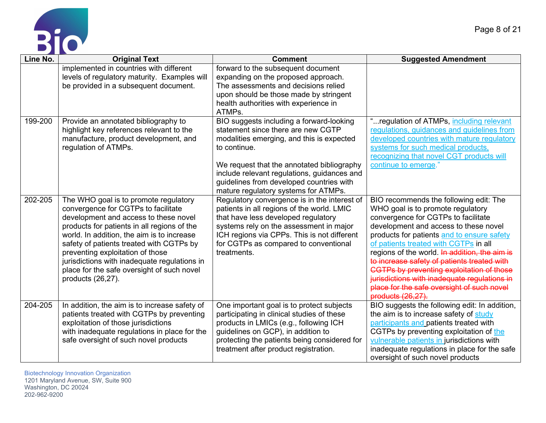



| Line No. | <b>Original Text</b>                                                                                                                                                                                                                                                                                                                                                                                                  | <b>Comment</b>                                                                                                                                                                                                                                                                                                               | <b>Suggested Amendment</b>                                                                                                                                                                                                                                                                                                                                                                                                                                                                                                |
|----------|-----------------------------------------------------------------------------------------------------------------------------------------------------------------------------------------------------------------------------------------------------------------------------------------------------------------------------------------------------------------------------------------------------------------------|------------------------------------------------------------------------------------------------------------------------------------------------------------------------------------------------------------------------------------------------------------------------------------------------------------------------------|---------------------------------------------------------------------------------------------------------------------------------------------------------------------------------------------------------------------------------------------------------------------------------------------------------------------------------------------------------------------------------------------------------------------------------------------------------------------------------------------------------------------------|
|          | implemented in countries with different<br>levels of regulatory maturity. Examples will<br>be provided in a subsequent document.                                                                                                                                                                                                                                                                                      | forward to the subsequent document<br>expanding on the proposed approach.<br>The assessments and decisions relied<br>upon should be those made by stringent<br>health authorities with experience in<br>ATMPs.                                                                                                               |                                                                                                                                                                                                                                                                                                                                                                                                                                                                                                                           |
| 199-200  | Provide an annotated bibliography to<br>highlight key references relevant to the<br>manufacture, product development, and<br>regulation of ATMPs.                                                                                                                                                                                                                                                                     | BIO suggests including a forward-looking<br>statement since there are new CGTP<br>modalities emerging, and this is expected<br>to continue.<br>We request that the annotated bibliography<br>include relevant regulations, guidances and<br>guidelines from developed countries with<br>mature regulatory systems for ATMPs. | " regulation of ATMPs, including relevant<br>regulations, guidances and guidelines from<br>developed countries with mature regulatory<br>systems for such medical products,<br>recognizing that novel CGT products will<br>continue to emerge."                                                                                                                                                                                                                                                                           |
| 202-205  | The WHO goal is to promote regulatory<br>convergence for CGTPs to facilitate<br>development and access to these novel<br>products for patients in all regions of the<br>world. In addition, the aim is to increase<br>safety of patients treated with CGTPs by<br>preventing exploitation of those<br>jurisdictions with inadequate regulations in<br>place for the safe oversight of such novel<br>products (26,27). | Regulatory convergence is in the interest of<br>patients in all regions of the world. LMIC<br>that have less developed regulatory<br>systems rely on the assessment in major<br>ICH regions via CPPs. This is not different<br>for CGTPs as compared to conventional<br>treatments.                                          | BIO recommends the following edit: The<br>WHO goal is to promote regulatory<br>convergence for CGTPs to facilitate<br>development and access to these novel<br>products for patients and to ensure safety<br>of patients treated with CGTPs in all<br>regions of the world. In addition, the aim is<br>to increase safety of patients treated with<br><b>CGTPs by preventing exploitation of those</b><br>jurisdictions with inadequate regulations in<br>place for the safe oversight of such novel<br>products (26,27). |
| 204-205  | In addition, the aim is to increase safety of<br>patients treated with CGTPs by preventing<br>exploitation of those jurisdictions<br>with inadequate regulations in place for the<br>safe oversight of such novel products                                                                                                                                                                                            | One important goal is to protect subjects<br>participating in clinical studies of these<br>products in LMICs (e.g., following ICH<br>guidelines on GCP), in addition to<br>protecting the patients being considered for<br>treatment after product registration.                                                             | BIO suggests the following edit: In addition,<br>the aim is to increase safety of study<br>participants and patients treated with<br>CGTPs by preventing exploitation of the<br>vulnerable patients in jurisdictions with<br>inadequate regulations in place for the safe<br>oversight of such novel products                                                                                                                                                                                                             |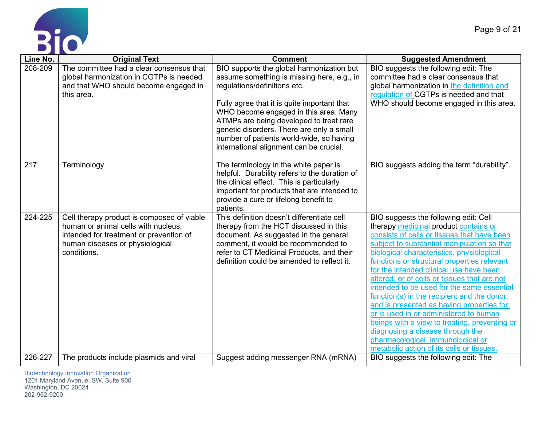

| Line No. | <b>Original Text</b>                                                                                                                                                           | <b>Comment</b>                                                                                                                                                                                                                                                                                                                                                                                 | <b>Suggested Amendment</b>                                                                                                                                                                                                                                                                                                                                                                                                                                                                                                                                                                                                                                                                                                      |
|----------|--------------------------------------------------------------------------------------------------------------------------------------------------------------------------------|------------------------------------------------------------------------------------------------------------------------------------------------------------------------------------------------------------------------------------------------------------------------------------------------------------------------------------------------------------------------------------------------|---------------------------------------------------------------------------------------------------------------------------------------------------------------------------------------------------------------------------------------------------------------------------------------------------------------------------------------------------------------------------------------------------------------------------------------------------------------------------------------------------------------------------------------------------------------------------------------------------------------------------------------------------------------------------------------------------------------------------------|
| 208-209  | The committee had a clear consensus that<br>global harmonization in CGTPs is needed<br>and that WHO should become engaged in<br>this area.                                     | BIO supports the global harmonization but<br>assume something is missing here, e.g., in<br>regulations/definitions etc.<br>Fully agree that it is quite important that<br>WHO become engaged in this area. Many<br>ATMPs are being developed to treat rare<br>genetic disorders. There are only a small<br>number of patients world-wide, so having<br>international alignment can be crucial. | BIO suggests the following edit: The<br>committee had a clear consensus that<br>global harmonization in the definition and<br>regulation of CGTPs is needed and that<br>WHO should become engaged in this area.                                                                                                                                                                                                                                                                                                                                                                                                                                                                                                                 |
| 217      | Terminology                                                                                                                                                                    | The terminology in the white paper is<br>helpful. Durability refers to the duration of<br>the clinical effect. This is particularly<br>important for products that are intended to<br>provide a cure or lifelong benefit to<br>patients.                                                                                                                                                       | BIO suggests adding the term "durability".                                                                                                                                                                                                                                                                                                                                                                                                                                                                                                                                                                                                                                                                                      |
| 224-225  | Cell therapy product is composed of viable<br>human or animal cells with nucleus,<br>intended for treatment or prevention of<br>human diseases or physiological<br>conditions. | This definition doesn't differentiate cell<br>therapy from the HCT discussed in this<br>document. As suggested in the general<br>comment, it would be recommended to<br>refer to CT Medicinal Products, and their<br>definition could be amended to reflect it.                                                                                                                                | BIO suggests the following edit: Cell<br>therapy medicinal product contains or<br>consists of cells or tissues that have been<br>subject to substantial manipulation so that<br>biological characteristics, physiological<br>functions or structural properties relevant<br>for the intended clinical use have been<br>altered, or of cells or tissues that are not<br>intended to be used for the same essential<br>function(s) in the recipient and the donor;<br>and is presented as having properties for,<br>or is used in or administered to human<br>beings with a view to treating, preventing or<br>diagnosing a disease through the<br>pharmacological, immunological or<br>metabolic action of its cells or tissues. |
| 226-227  | The products include plasmids and viral                                                                                                                                        | Suggest adding messenger RNA (mRNA)                                                                                                                                                                                                                                                                                                                                                            | BIO suggests the following edit: The                                                                                                                                                                                                                                                                                                                                                                                                                                                                                                                                                                                                                                                                                            |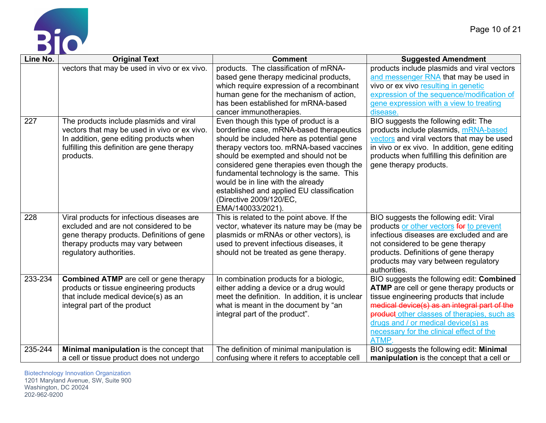

| Line No. | <b>Original Text</b>                                                                                                                                                                              | <b>Comment</b>                                                                                                                                                                                                                                                                                                                                                                                                                                | <b>Suggested Amendment</b>                                                                                                                                                                                                                                                                                                           |
|----------|---------------------------------------------------------------------------------------------------------------------------------------------------------------------------------------------------|-----------------------------------------------------------------------------------------------------------------------------------------------------------------------------------------------------------------------------------------------------------------------------------------------------------------------------------------------------------------------------------------------------------------------------------------------|--------------------------------------------------------------------------------------------------------------------------------------------------------------------------------------------------------------------------------------------------------------------------------------------------------------------------------------|
|          | vectors that may be used in vivo or ex vivo.                                                                                                                                                      | products. The classification of mRNA-<br>based gene therapy medicinal products,<br>which require expression of a recombinant<br>human gene for the mechanism of action,<br>has been established for mRNA-based<br>cancer immunotherapies.                                                                                                                                                                                                     | products include plasmids and viral vectors<br>and messenger RNA that may be used in<br>vivo or ex vivo resulting in genetic<br>expression of the sequence/modification of<br>gene expression with a view to treating<br>disease.                                                                                                    |
| 227      | The products include plasmids and viral<br>vectors that may be used in vivo or ex vivo.<br>In addition, gene editing products when<br>fulfilling this definition are gene therapy<br>products.    | Even though this type of product is a<br>borderline case, mRNA-based therapeutics<br>should be included here as potential gene<br>therapy vectors too. mRNA-based vaccines<br>should be exempted and should not be<br>considered gene therapies even though the<br>fundamental technology is the same. This<br>would be in line with the already<br>established and applied EU classification<br>(Directive 2009/120/EC,<br>EMA/140033/2021). | BIO suggests the following edit: The<br>products include plasmids, mRNA-based<br>vectors and viral vectors that may be used<br>in vivo or ex vivo. In addition, gene editing<br>products when fulfilling this definition are<br>gene therapy products.                                                                               |
| 228      | Viral products for infectious diseases are<br>excluded and are not considered to be<br>gene therapy products. Definitions of gene<br>therapy products may vary between<br>regulatory authorities. | This is related to the point above. If the<br>vector, whatever its nature may be (may be<br>plasmids or mRNAs or other vectors), is<br>used to prevent infectious diseases, it<br>should not be treated as gene therapy.                                                                                                                                                                                                                      | BIO suggests the following edit: Viral<br>products or other vectors for to prevent<br>infectious diseases are excluded and are<br>not considered to be gene therapy<br>products. Definitions of gene therapy<br>products may vary between regulatory<br>authorities.                                                                 |
| 233-234  | <b>Combined ATMP</b> are cell or gene therapy<br>products or tissue engineering products<br>that include medical device(s) as an<br>integral part of the product                                  | In combination products for a biologic,<br>either adding a device or a drug would<br>meet the definition. In addition, it is unclear<br>what is meant in the document by "an<br>integral part of the product".                                                                                                                                                                                                                                | BIO suggests the following edit: Combined<br><b>ATMP</b> are cell or gene therapy products or<br>tissue engineering products that include<br>medical device(s) as an integral part of the<br>product other classes of therapies, such as<br>drugs and / or medical device(s) as<br>necessary for the clinical effect of the<br>ATMP. |
| 235-244  | Minimal manipulation is the concept that<br>a cell or tissue product does not undergo                                                                                                             | The definition of minimal manipulation is<br>confusing where it refers to acceptable cell                                                                                                                                                                                                                                                                                                                                                     | BIO suggests the following edit: Minimal<br>manipulation is the concept that a cell or                                                                                                                                                                                                                                               |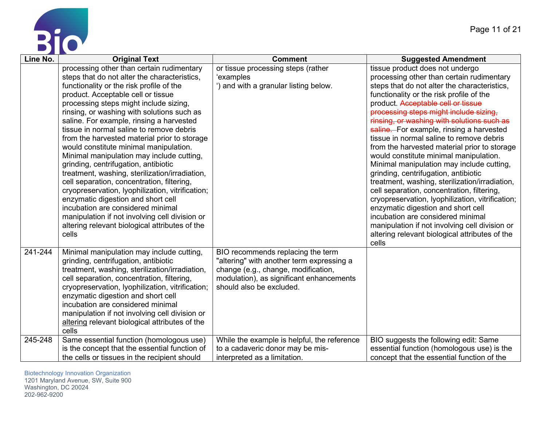

| Line No. | <b>Original Text</b>                             | <b>Comment</b>                              | <b>Suggested Amendment</b>                       |
|----------|--------------------------------------------------|---------------------------------------------|--------------------------------------------------|
|          | processing other than certain rudimentary        | or tissue processing steps (rather          | tissue product does not undergo                  |
|          | steps that do not alter the characteristics,     | 'examples                                   | processing other than certain rudimentary        |
|          | functionality or the risk profile of the         | ') and with a granular listing below.       | steps that do not alter the characteristics,     |
|          | product. Acceptable cell or tissue               |                                             | functionality or the risk profile of the         |
|          | processing steps might include sizing,           |                                             | product. Acceptable cell or tissue               |
|          | rinsing, or washing with solutions such as       |                                             | processing steps might include sizing,           |
|          | saline. For example, rinsing a harvested         |                                             | rinsing, or washing with solutions such as       |
|          | tissue in normal saline to remove debris         |                                             | saline. For example, rinsing a harvested         |
|          | from the harvested material prior to storage     |                                             | tissue in normal saline to remove debris         |
|          | would constitute minimal manipulation.           |                                             | from the harvested material prior to storage     |
|          | Minimal manipulation may include cutting,        |                                             | would constitute minimal manipulation.           |
|          | grinding, centrifugation, antibiotic             |                                             | Minimal manipulation may include cutting,        |
|          | treatment, washing, sterilization/irradiation,   |                                             | grinding, centrifugation, antibiotic             |
|          | cell separation, concentration, filtering,       |                                             | treatment, washing, sterilization/irradiation,   |
|          | cryopreservation, lyophilization, vitrification; |                                             | cell separation, concentration, filtering,       |
|          | enzymatic digestion and short cell               |                                             | cryopreservation, lyophilization, vitrification; |
|          | incubation are considered minimal                |                                             | enzymatic digestion and short cell               |
|          | manipulation if not involving cell division or   |                                             | incubation are considered minimal                |
|          | altering relevant biological attributes of the   |                                             | manipulation if not involving cell division or   |
|          | cells                                            |                                             | altering relevant biological attributes of the   |
|          |                                                  |                                             | cells                                            |
| 241-244  | Minimal manipulation may include cutting,        | BIO recommends replacing the term           |                                                  |
|          | grinding, centrifugation, antibiotic             | "altering" with another term expressing a   |                                                  |
|          | treatment, washing, sterilization/irradiation,   | change (e.g., change, modification,         |                                                  |
|          | cell separation, concentration, filtering,       | modulation), as significant enhancements    |                                                  |
|          | cryopreservation, lyophilization, vitrification; | should also be excluded.                    |                                                  |
|          | enzymatic digestion and short cell               |                                             |                                                  |
|          | incubation are considered minimal                |                                             |                                                  |
|          | manipulation if not involving cell division or   |                                             |                                                  |
|          | altering relevant biological attributes of the   |                                             |                                                  |
|          | cells                                            |                                             |                                                  |
| 245-248  | Same essential function (homologous use)         | While the example is helpful, the reference | BIO suggests the following edit: Same            |
|          | is the concept that the essential function of    | to a cadaveric donor may be mis-            | essential function (homologous use) is the       |
|          | the cells or tissues in the recipient should     | interpreted as a limitation.                | concept that the essential function of the       |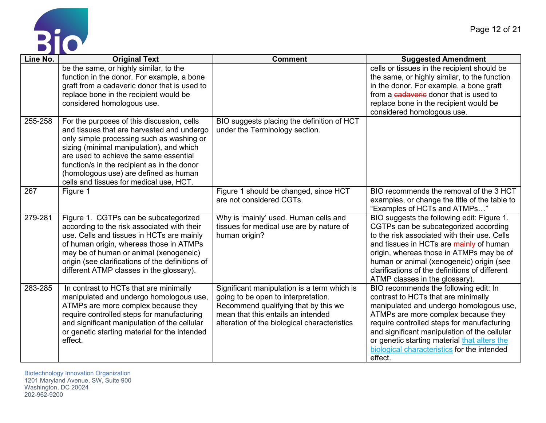

| Line No. | <b>Original Text</b>                                                                                                                                                                                                                                                                                                                                           | <b>Comment</b>                                                                                                                                                                                                   | <b>Suggested Amendment</b>                                                                                                                                                                                                                                                                                                                                             |
|----------|----------------------------------------------------------------------------------------------------------------------------------------------------------------------------------------------------------------------------------------------------------------------------------------------------------------------------------------------------------------|------------------------------------------------------------------------------------------------------------------------------------------------------------------------------------------------------------------|------------------------------------------------------------------------------------------------------------------------------------------------------------------------------------------------------------------------------------------------------------------------------------------------------------------------------------------------------------------------|
|          | be the same, or highly similar, to the<br>function in the donor. For example, a bone<br>graft from a cadaveric donor that is used to<br>replace bone in the recipient would be<br>considered homologous use.                                                                                                                                                   |                                                                                                                                                                                                                  | cells or tissues in the recipient should be<br>the same, or highly similar, to the function<br>in the donor. For example, a bone graft<br>from a cadaveric donor that is used to<br>replace bone in the recipient would be<br>considered homologous use.                                                                                                               |
| 255-258  | For the purposes of this discussion, cells<br>and tissues that are harvested and undergo<br>only simple processing such as washing or<br>sizing (minimal manipulation), and which<br>are used to achieve the same essential<br>function/s in the recipient as in the donor<br>(homologous use) are defined as human<br>cells and tissues for medical use, HCT. | BIO suggests placing the definition of HCT<br>under the Terminology section.                                                                                                                                     |                                                                                                                                                                                                                                                                                                                                                                        |
| 267      | Figure 1                                                                                                                                                                                                                                                                                                                                                       | Figure 1 should be changed, since HCT<br>are not considered CGTs.                                                                                                                                                | BIO recommends the removal of the 3 HCT<br>examples, or change the title of the table to<br>"Examples of HCTs and ATMPs"                                                                                                                                                                                                                                               |
| 279-281  | Figure 1. CGTPs can be subcategorized<br>according to the risk associated with their<br>use. Cells and tissues in HCTs are mainly<br>of human origin, whereas those in ATMPs<br>may be of human or animal (xenogeneic)<br>origin (see clarifications of the definitions of<br>different ATMP classes in the glossary).                                         | Why is 'mainly' used. Human cells and<br>tissues for medical use are by nature of<br>human origin?                                                                                                               | BIO suggests the following edit: Figure 1.<br>CGTPs can be subcategorized according<br>to the risk associated with their use. Cells<br>and tissues in HCTs are mainly of human<br>origin, whereas those in ATMPs may be of<br>human or animal (xenogeneic) origin (see<br>clarifications of the definitions of different<br>ATMP classes in the glossary).             |
| 283-285  | In contrast to HCTs that are minimally<br>manipulated and undergo homologous use,<br>ATMPs are more complex because they<br>require controlled steps for manufacturing<br>and significant manipulation of the cellular<br>or genetic starting material for the intended<br>effect.                                                                             | Significant manipulation is a term which is<br>going to be open to interpretation.<br>Recommend qualifying that by this we<br>mean that this entails an intended<br>alteration of the biological characteristics | BIO recommends the following edit: In<br>contrast to HCTs that are minimally<br>manipulated and undergo homologous use,<br>ATMPs are more complex because they<br>require controlled steps for manufacturing<br>and significant manipulation of the cellular<br>or genetic starting material that alters the<br>biological characteristics for the intended<br>effect. |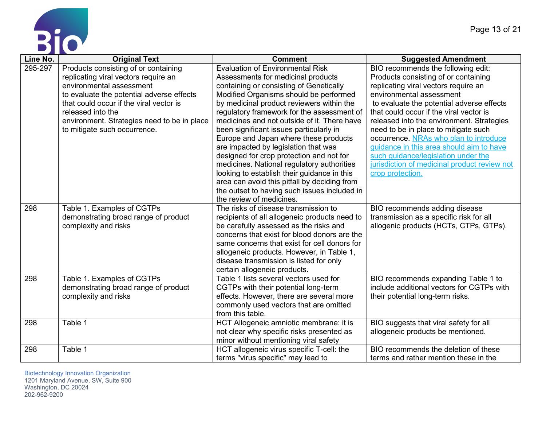

| Line No. | <b>Original Text</b>                        | <b>Comment</b>                                | <b>Suggested Amendment</b>                   |
|----------|---------------------------------------------|-----------------------------------------------|----------------------------------------------|
| 295-297  | Products consisting of or containing        | <b>Evaluation of Environmental Risk</b>       | BIO recommends the following edit:           |
|          | replicating viral vectors require an        | Assessments for medicinal products            | Products consisting of or containing         |
|          | environmental assessment                    | containing or consisting of Genetically       | replicating viral vectors require an         |
|          | to evaluate the potential adverse effects   | Modified Organisms should be performed        | environmental assessment                     |
|          | that could occur if the viral vector is     | by medicinal product reviewers within the     | to evaluate the potential adverse effects    |
|          | released into the                           | regulatory framework for the assessment of    | that could occur if the viral vector is      |
|          | environment. Strategies need to be in place | medicines and not outside of it. There have   | released into the environment. Strategies    |
|          | to mitigate such occurrence.                | been significant issues particularly in       | need to be in place to mitigate such         |
|          |                                             | Europe and Japan where these products         | occurrence. NRAs who plan to introduce       |
|          |                                             | are impacted by legislation that was          | guidance in this area should aim to have     |
|          |                                             | designed for crop protection and not for      | such guidance/legislation under the          |
|          |                                             | medicines. National regulatory authorities    | jurisdiction of medicinal product review not |
|          |                                             | looking to establish their guidance in this   | crop protection.                             |
|          |                                             | area can avoid this pitfall by deciding from  |                                              |
|          |                                             | the outset to having such issues included in  |                                              |
|          |                                             | the review of medicines.                      |                                              |
| 298      | Table 1. Examples of CGTPs                  | The risks of disease transmission to          | BIO recommends adding disease                |
|          | demonstrating broad range of product        | recipients of all allogeneic products need to | transmission as a specific risk for all      |
|          | complexity and risks                        | be carefully assessed as the risks and        | allogenic products (HCTs, CTPs, GTPs).       |
|          |                                             | concerns that exist for blood donors are the  |                                              |
|          |                                             | same concerns that exist for cell donors for  |                                              |
|          |                                             | allogeneic products. However, in Table 1,     |                                              |
|          |                                             | disease transmission is listed for only       |                                              |
|          |                                             | certain allogeneic products.                  |                                              |
| 298      | Table 1. Examples of CGTPs                  | Table 1 lists several vectors used for        | BIO recommends expanding Table 1 to          |
|          | demonstrating broad range of product        | CGTPs with their potential long-term          | include additional vectors for CGTPs with    |
|          | complexity and risks                        | effects. However, there are several more      | their potential long-term risks.             |
|          |                                             | commonly used vectors that are omitted        |                                              |
|          |                                             | from this table.                              |                                              |
| 298      | Table 1                                     | HCT Allogeneic amniotic membrane: it is       | BIO suggests that viral safety for all       |
|          |                                             | not clear why specific risks presented as     | allogeneic products be mentioned.            |
|          |                                             | minor without mentioning viral safety         |                                              |
| 298      | Table 1                                     | HCT allogeneic virus specific T-cell: the     | BIO recommends the deletion of these         |
|          |                                             | terms "virus specific" may lead to            | terms and rather mention these in the        |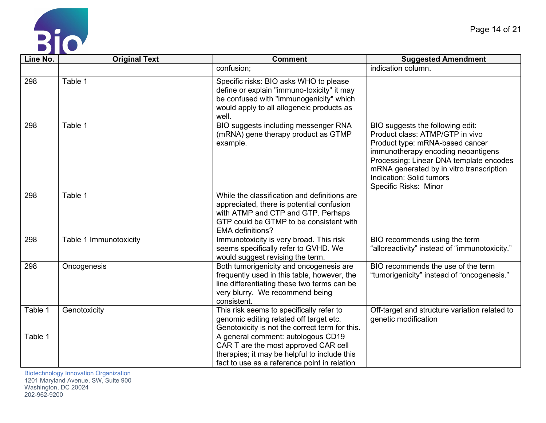



| Line No. | <b>Original Text</b>   | <b>Comment</b>                                                                                                                                                                                        | <b>Suggested Amendment</b>                                                                                                                                                                                                                                                                      |
|----------|------------------------|-------------------------------------------------------------------------------------------------------------------------------------------------------------------------------------------------------|-------------------------------------------------------------------------------------------------------------------------------------------------------------------------------------------------------------------------------------------------------------------------------------------------|
|          |                        | confusion;                                                                                                                                                                                            | indication column.                                                                                                                                                                                                                                                                              |
| 298      | Table $1$              | Specific risks: BIO asks WHO to please<br>define or explain "immuno-toxicity" it may<br>be confused with "immunogenicity" which<br>would apply to all allogeneic products as<br>well.                 |                                                                                                                                                                                                                                                                                                 |
| 298      | Table 1                | BIO suggests including messenger RNA<br>(mRNA) gene therapy product as GTMP<br>example.                                                                                                               | BIO suggests the following edit:<br>Product class: ATMP/GTP in vivo<br>Product type: mRNA-based cancer<br>immunotherapy encoding neoantigens<br>Processing: Linear DNA template encodes<br>mRNA generated by in vitro transcription<br><b>Indication: Solid tumors</b><br>Specific Risks: Minor |
| 298      | Table 1                | While the classification and definitions are<br>appreciated, there is potential confusion<br>with ATMP and CTP and GTP. Perhaps<br>GTP could be GTMP to be consistent with<br><b>EMA</b> definitions? |                                                                                                                                                                                                                                                                                                 |
| 298      | Table 1 Immunotoxicity | Immunotoxicity is very broad. This risk<br>seems specifically refer to GVHD. We<br>would suggest revising the term.                                                                                   | BIO recommends using the term<br>"alloreactivity" instead of "immunotoxicity."                                                                                                                                                                                                                  |
| 298      | Oncogenesis            | Both tumorigenicity and oncogenesis are<br>frequently used in this table, however, the<br>line differentiating these two terms can be<br>very blurry. We recommend being<br>consistent.               | BIO recommends the use of the term<br>"tumorigenicity" instead of "oncogenesis."                                                                                                                                                                                                                |
| Table 1  | Genotoxicity           | This risk seems to specifically refer to<br>genomic editing related off target etc.<br>Genotoxicity is not the correct term for this.                                                                 | Off-target and structure variation related to<br>genetic modification                                                                                                                                                                                                                           |
| Table 1  |                        | A general comment: autologous CD19<br>CAR T are the most approved CAR cell<br>therapies; it may be helpful to include this<br>fact to use as a reference point in relation                            |                                                                                                                                                                                                                                                                                                 |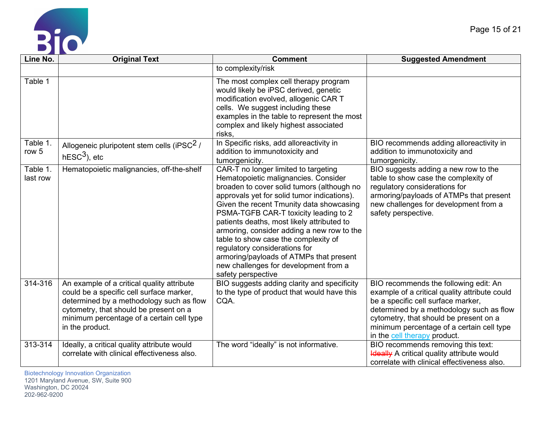

| Line No.             | <b>Original Text</b>                                                                                                                                                                                                                         | <b>Comment</b>                                                                                                                                                                                                                                                                                                                                                                                                                                                                                                                                | <b>Suggested Amendment</b>                                                                                                                                                                                                                                                                      |
|----------------------|----------------------------------------------------------------------------------------------------------------------------------------------------------------------------------------------------------------------------------------------|-----------------------------------------------------------------------------------------------------------------------------------------------------------------------------------------------------------------------------------------------------------------------------------------------------------------------------------------------------------------------------------------------------------------------------------------------------------------------------------------------------------------------------------------------|-------------------------------------------------------------------------------------------------------------------------------------------------------------------------------------------------------------------------------------------------------------------------------------------------|
|                      |                                                                                                                                                                                                                                              | to complexity/risk                                                                                                                                                                                                                                                                                                                                                                                                                                                                                                                            |                                                                                                                                                                                                                                                                                                 |
| Table 1              |                                                                                                                                                                                                                                              | The most complex cell therapy program<br>would likely be iPSC derived, genetic<br>modification evolved, allogenic CAR T<br>cells. We suggest including these<br>examples in the table to represent the most<br>complex and likely highest associated<br>risks.                                                                                                                                                                                                                                                                                |                                                                                                                                                                                                                                                                                                 |
| Table 1.<br>row 5    | Allogeneic pluripotent stem cells (iPSC $2/$<br>$hESC3$ ), etc                                                                                                                                                                               | In Specific risks, add alloreactivity in<br>addition to immunotoxicity and<br>tumorgenicity.                                                                                                                                                                                                                                                                                                                                                                                                                                                  | BIO recommends adding alloreactivity in<br>addition to immunotoxicity and<br>tumorgenicity.                                                                                                                                                                                                     |
| Table 1.<br>last row | Hematopoietic malignancies, off-the-shelf                                                                                                                                                                                                    | CAR-T no longer limited to targeting<br>Hematopoietic malignancies. Consider<br>broaden to cover solid tumors (although no<br>approvals yet for solid tumor indications).<br>Given the recent Tmunity data showcasing<br>PSMA-TGFB CAR-T toxicity leading to 2<br>patients deaths, most likely attributed to<br>armoring, consider adding a new row to the<br>table to show case the complexity of<br>regulatory considerations for<br>armoring/payloads of ATMPs that present<br>new challenges for development from a<br>safety perspective | BIO suggests adding a new row to the<br>table to show case the complexity of<br>regulatory considerations for<br>armoring/payloads of ATMPs that present<br>new challenges for development from a<br>safety perspective.                                                                        |
| 314-316              | An example of a critical quality attribute<br>could be a specific cell surface marker,<br>determined by a methodology such as flow<br>cytometry, that should be present on a<br>minimum percentage of a certain cell type<br>in the product. | BIO suggests adding clarity and specificity<br>to the type of product that would have this<br>CQA.                                                                                                                                                                                                                                                                                                                                                                                                                                            | BIO recommends the following edit: An<br>example of a critical quality attribute could<br>be a specific cell surface marker,<br>determined by a methodology such as flow<br>cytometry, that should be present on a<br>minimum percentage of a certain cell type<br>in the cell therapy product. |
| 313-314              | Ideally, a critical quality attribute would<br>correlate with clinical effectiveness also.                                                                                                                                                   | The word "ideally" is not informative.                                                                                                                                                                                                                                                                                                                                                                                                                                                                                                        | BIO recommends removing this text:<br><b>Heally</b> A critical quality attribute would<br>correlate with clinical effectiveness also.                                                                                                                                                           |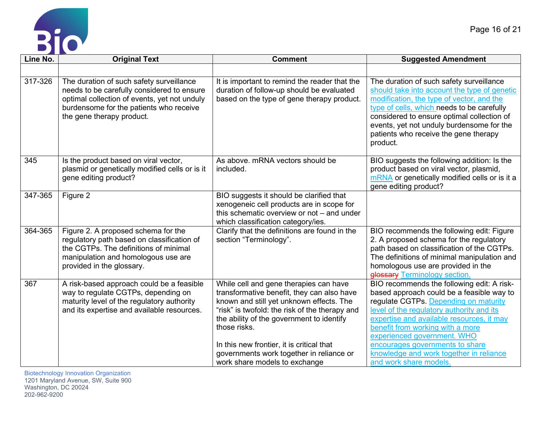



| Line No. | <b>Original Text</b>                                                                                                                                                                                           | <b>Comment</b>                                                                                                                                                                                                                                  | <b>Suggested Amendment</b>                                                                                                                                                                                                                                                                                                          |
|----------|----------------------------------------------------------------------------------------------------------------------------------------------------------------------------------------------------------------|-------------------------------------------------------------------------------------------------------------------------------------------------------------------------------------------------------------------------------------------------|-------------------------------------------------------------------------------------------------------------------------------------------------------------------------------------------------------------------------------------------------------------------------------------------------------------------------------------|
|          |                                                                                                                                                                                                                |                                                                                                                                                                                                                                                 |                                                                                                                                                                                                                                                                                                                                     |
| 317-326  | The duration of such safety surveillance<br>needs to be carefully considered to ensure<br>optimal collection of events, yet not unduly<br>burdensome for the patients who receive<br>the gene therapy product. | It is important to remind the reader that the<br>duration of follow-up should be evaluated<br>based on the type of gene therapy product.                                                                                                        | The duration of such safety surveillance<br>should take into account the type of genetic<br>modification, the type of vector, and the<br>type of cells, which needs to be carefully<br>considered to ensure optimal collection of<br>events, yet not unduly burdensome for the<br>patients who receive the gene therapy<br>product. |
| 345      | Is the product based on viral vector,<br>plasmid or genetically modified cells or is it<br>gene editing product?                                                                                               | As above. mRNA vectors should be<br>included.                                                                                                                                                                                                   | BIO suggests the following addition: Is the<br>product based on viral vector, plasmid,<br>mRNA or genetically modified cells or is it a<br>gene editing product?                                                                                                                                                                    |
| 347-365  | Figure 2                                                                                                                                                                                                       | BIO suggests it should be clarified that<br>xenogeneic cell products are in scope for<br>this schematic overview or not - and under<br>which classification category/ies.                                                                       |                                                                                                                                                                                                                                                                                                                                     |
| 364-365  | Figure 2. A proposed schema for the<br>regulatory path based on classification of<br>the CGTPs. The definitions of minimal<br>manipulation and homologous use are<br>provided in the glossary.                 | Clarify that the definitions are found in the<br>section "Terminology".                                                                                                                                                                         | BIO recommends the following edit: Figure<br>2. A proposed schema for the regulatory<br>path based on classification of the CGTPs.<br>The definitions of minimal manipulation and<br>homologous use are provided in the<br>glossary Terminology section.                                                                            |
| 367      | A risk-based approach could be a feasible<br>way to regulate CGTPs, depending on<br>maturity level of the regulatory authority<br>and its expertise and available resources.                                   | While cell and gene therapies can have<br>transformative benefit, they can also have<br>known and still yet unknown effects. The<br>"risk" is twofold: the risk of the therapy and<br>the ability of the government to identify<br>those risks. | BIO recommends the following edit: A risk-<br>based approach could be a feasible way to<br>regulate CGTPs. Depending on maturity<br>level of the regulatory authority and its<br>expertise and available resources, it may<br>benefit from working with a more<br>experienced government. WHO                                       |
|          |                                                                                                                                                                                                                | In this new frontier, it is critical that<br>governments work together in reliance or<br>work share models to exchange                                                                                                                          | encourages governments to share<br>knowledge and work together in reliance<br>and work share models.                                                                                                                                                                                                                                |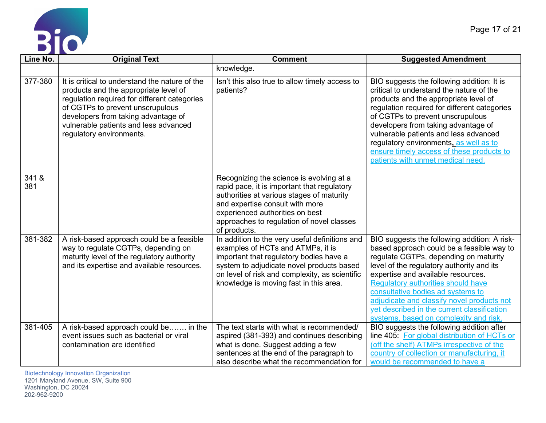



| Line No.     | <b>Original Text</b>                                                                                                                                                                                                                                                                    | <b>Comment</b>                                                                                                                                                                                                                                                          | <b>Suggested Amendment</b>                                                                                                                                                                                                                                                                                                                                                                                                              |
|--------------|-----------------------------------------------------------------------------------------------------------------------------------------------------------------------------------------------------------------------------------------------------------------------------------------|-------------------------------------------------------------------------------------------------------------------------------------------------------------------------------------------------------------------------------------------------------------------------|-----------------------------------------------------------------------------------------------------------------------------------------------------------------------------------------------------------------------------------------------------------------------------------------------------------------------------------------------------------------------------------------------------------------------------------------|
|              |                                                                                                                                                                                                                                                                                         | knowledge.                                                                                                                                                                                                                                                              |                                                                                                                                                                                                                                                                                                                                                                                                                                         |
| 377-380      | It is critical to understand the nature of the<br>products and the appropriate level of<br>regulation required for different categories<br>of CGTPs to prevent unscrupulous<br>developers from taking advantage of<br>vulnerable patients and less advanced<br>regulatory environments. | Isn't this also true to allow timely access to<br>patients?                                                                                                                                                                                                             | BIO suggests the following addition: It is<br>critical to understand the nature of the<br>products and the appropriate level of<br>regulation required for different categories<br>of CGTPs to prevent unscrupulous<br>developers from taking advantage of<br>vulnerable patients and less advanced<br>regulatory environments, as well as to<br>ensure timely access of these products to<br>patients with unmet medical need.         |
| 341 &<br>381 |                                                                                                                                                                                                                                                                                         | Recognizing the science is evolving at a<br>rapid pace, it is important that regulatory<br>authorities at various stages of maturity<br>and expertise consult with more<br>experienced authorities on best<br>approaches to regulation of novel classes<br>of products. |                                                                                                                                                                                                                                                                                                                                                                                                                                         |
| 381-382      | A risk-based approach could be a feasible<br>way to regulate CGTPs, depending on<br>maturity level of the regulatory authority<br>and its expertise and available resources.                                                                                                            | In addition to the very useful definitions and<br>examples of HCTs and ATMPs, it is<br>important that regulatory bodies have a<br>system to adjudicate novel products based<br>on level of risk and complexity, as scientific<br>knowledge is moving fast in this area. | BIO suggests the following addition: A risk-<br>based approach could be a feasible way to<br>regulate CGTPs, depending on maturity<br>level of the regulatory authority and its<br>expertise and available resources.<br>Regulatory authorities should have<br>consultative bodies ad systems to<br>adjudicate and classify novel products not<br>yet described in the current classification<br>systems, based on complexity and risk. |
| 381-405      | A risk-based approach could be in the<br>event issues such as bacterial or viral<br>contamination are identified                                                                                                                                                                        | The text starts with what is recommended/<br>aspired (381-393) and continues describing<br>what is done. Suggest adding a few<br>sentences at the end of the paragraph to<br>also describe what the recommendation for                                                  | BIO suggests the following addition after<br>line 405: For global distribution of HCTs or<br>(off the shelf) ATMPs irrespective of the<br>country of collection or manufacturing, it<br>would be recommended to have a                                                                                                                                                                                                                  |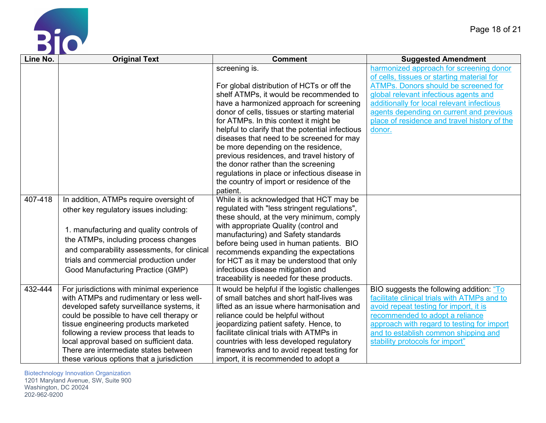

| Line No. | <b>Original Text</b>                                                             | <b>Comment</b>                                                                     | <b>Suggested Amendment</b>                                                            |
|----------|----------------------------------------------------------------------------------|------------------------------------------------------------------------------------|---------------------------------------------------------------------------------------|
|          |                                                                                  | screening is.                                                                      | harmonized approach for screening donor<br>of cells, tissues or starting material for |
|          |                                                                                  | For global distribution of HCTs or off the                                         | <b>ATMPs. Donors should be screened for</b>                                           |
|          |                                                                                  | shelf ATMPs, it would be recommended to                                            | global relevant infectious agents and                                                 |
|          |                                                                                  | have a harmonized approach for screening                                           | additionally for local relevant infectious                                            |
|          |                                                                                  | donor of cells, tissues or starting material                                       | agents depending on current and previous                                              |
|          |                                                                                  | for ATMPs. In this context it might be                                             | place of residence and travel history of the                                          |
|          |                                                                                  | helpful to clarify that the potential infectious                                   | donor.                                                                                |
|          |                                                                                  | diseases that need to be screened for may                                          |                                                                                       |
|          |                                                                                  | be more depending on the residence,                                                |                                                                                       |
|          |                                                                                  | previous residences, and travel history of                                         |                                                                                       |
|          |                                                                                  | the donor rather than the screening                                                |                                                                                       |
|          |                                                                                  | regulations in place or infectious disease in                                      |                                                                                       |
|          |                                                                                  | the country of import or residence of the                                          |                                                                                       |
|          |                                                                                  | patient.                                                                           |                                                                                       |
| 407-418  | In addition, ATMPs require oversight of                                          | While it is acknowledged that HCT may be                                           |                                                                                       |
|          | other key regulatory issues including:                                           | regulated with "less stringent regulations",                                       |                                                                                       |
|          |                                                                                  | these should, at the very minimum, comply                                          |                                                                                       |
|          | 1. manufacturing and quality controls of                                         | with appropriate Quality (control and                                              |                                                                                       |
|          | the ATMPs, including process changes                                             | manufacturing) and Safety standards                                                |                                                                                       |
|          | and comparability assessments, for clinical                                      | before being used in human patients. BIO                                           |                                                                                       |
|          | trials and commercial production under                                           | recommends expanding the expectations                                              |                                                                                       |
|          |                                                                                  | for HCT as it may be understood that only                                          |                                                                                       |
|          | Good Manufacturing Practice (GMP)                                                | infectious disease mitigation and                                                  |                                                                                       |
|          |                                                                                  | traceability is needed for these products.                                         |                                                                                       |
| 432-444  | For jurisdictions with minimal experience                                        | It would be helpful if the logistic challenges                                     | BIO suggests the following addition: "To                                              |
|          | with ATMPs and rudimentary or less well-                                         | of small batches and short half-lives was                                          | facilitate clinical trials with ATMPs and to                                          |
|          | developed safety surveillance systems, it                                        | lifted as an issue where harmonisation and                                         | avoid repeat testing for import, it is                                                |
|          | could be possible to have cell therapy or                                        | reliance could be helpful without                                                  | recommended to adopt a reliance                                                       |
|          | tissue engineering products marketed<br>following a review process that leads to | jeopardizing patient safety. Hence, to<br>facilitate clinical trials with ATMPs in | approach with regard to testing for import<br>and to establish common shipping and    |
|          | local approval based on sufficient data.                                         | countries with less developed regulatory                                           | stability protocols for import"                                                       |
|          | There are intermediate states between                                            | frameworks and to avoid repeat testing for                                         |                                                                                       |
|          | these various options that a jurisdiction                                        | import, it is recommended to adopt a                                               |                                                                                       |
|          |                                                                                  |                                                                                    |                                                                                       |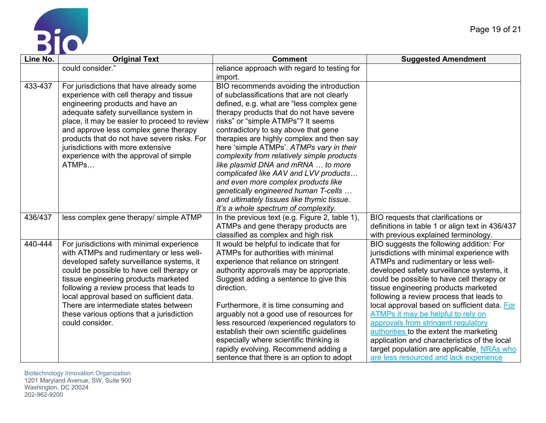

| Line No. | <b>Original Text</b>                                                                                                                                                                                                                                                                                                                                                                                                     | <b>Comment</b>                                                                                                                                                                                                                                                                                                                                                                                                                                                                                                                                                                                                                                           | <b>Suggested Amendment</b>                                                                                                                                                                                                                                                                                                                                                                                                                                                                                                                                                                                                  |
|----------|--------------------------------------------------------------------------------------------------------------------------------------------------------------------------------------------------------------------------------------------------------------------------------------------------------------------------------------------------------------------------------------------------------------------------|----------------------------------------------------------------------------------------------------------------------------------------------------------------------------------------------------------------------------------------------------------------------------------------------------------------------------------------------------------------------------------------------------------------------------------------------------------------------------------------------------------------------------------------------------------------------------------------------------------------------------------------------------------|-----------------------------------------------------------------------------------------------------------------------------------------------------------------------------------------------------------------------------------------------------------------------------------------------------------------------------------------------------------------------------------------------------------------------------------------------------------------------------------------------------------------------------------------------------------------------------------------------------------------------------|
|          | could consider."                                                                                                                                                                                                                                                                                                                                                                                                         | reliance approach with regard to testing for<br>import.                                                                                                                                                                                                                                                                                                                                                                                                                                                                                                                                                                                                  |                                                                                                                                                                                                                                                                                                                                                                                                                                                                                                                                                                                                                             |
| 433-437  | For jurisdictions that have already some<br>experience with cell therapy and tissue<br>engineering products and have an<br>adequate safety surveillance system in<br>place, it may be easier to proceed to review<br>and approve less complex gene therapy<br>products that do not have severe risks. For<br>jurisdictions with more extensive<br>experience with the approval of simple<br>ATMPs                        | BIO recommends avoiding the introduction<br>of subclassifications that are not clearly<br>defined, e.g. what are "less complex gene<br>therapy products that do not have severe<br>risks" or "simple ATMPs"? It seems<br>contradictory to say above that gene<br>therapies are highly complex and then say<br>here 'simple ATMPs'. ATMPs vary in their<br>complexity from relatively simple products<br>like plasmid DNA and mRNA  to more<br>complicated like AAV and LVV products<br>and even more complex products like<br>genetically engineered human T-cells<br>and ultimately tissues like thymic tissue.<br>It's a whole spectrum of complexity. |                                                                                                                                                                                                                                                                                                                                                                                                                                                                                                                                                                                                                             |
| 436/437  | less complex gene therapy/ simple ATMP                                                                                                                                                                                                                                                                                                                                                                                   | In the previous text (e.g. Figure 2, table 1),<br>ATMPs and gene therapy products are<br>classified as complex and high risk                                                                                                                                                                                                                                                                                                                                                                                                                                                                                                                             | BIO requests that clarifications or<br>definitions in table 1 or align text in 436/437<br>with previous explained terminology.                                                                                                                                                                                                                                                                                                                                                                                                                                                                                              |
| 440-444  | For jurisdictions with minimal experience<br>with ATMPs and rudimentary or less well-<br>developed safety surveillance systems, it<br>could be possible to have cell therapy or<br>tissue engineering products marketed<br>following a review process that leads to<br>local approval based on sufficient data.<br>There are intermediate states between<br>these various options that a jurisdiction<br>could consider. | It would be helpful to indicate that for<br>ATMPs for authorities with minimal<br>experience that reliance on stringent<br>authority approvals may be appropriate.<br>Suggest adding a sentence to give this<br>direction.<br>Furthermore, it is time consuming and<br>arguably not a good use of resources for<br>less resourced / experienced regulators to<br>establish their own scientific guidelines<br>especially where scientific thinking is<br>rapidly evolving. Recommend adding a<br>sentence that there is an option to adopt                                                                                                               | BIO suggests the following addition: For<br>jurisdictions with minimal experience with<br>ATMPs and rudimentary or less well-<br>developed safety surveillance systems, it<br>could be possible to have cell therapy or<br>tissue engineering products marketed<br>following a review process that leads to<br>local approval based on sufficient data. For<br>ATMPs it may be helpful to rely on<br>approvals from stringent regulatory<br>authorities to the extent the marketing<br>application and characteristics of the local<br>target population are applicable. NRAs who<br>are less resourced and lack experience |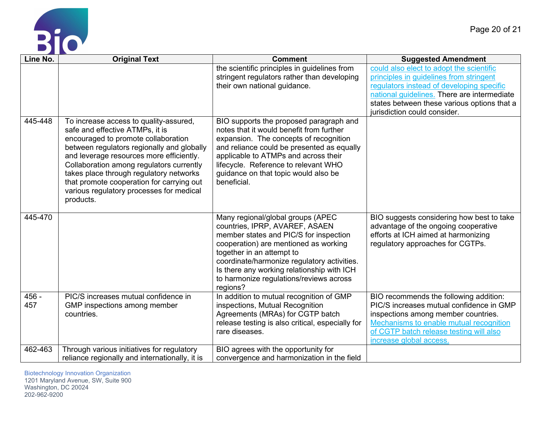

| Line No.     | <b>Original Text</b>                                                                                                                                                                                                                                                                                                                                                                                    | <b>Comment</b>                                                                                                                                                                                                                                                                                                                          | <b>Suggested Amendment</b>                                                                                                                                                                                                                                     |
|--------------|---------------------------------------------------------------------------------------------------------------------------------------------------------------------------------------------------------------------------------------------------------------------------------------------------------------------------------------------------------------------------------------------------------|-----------------------------------------------------------------------------------------------------------------------------------------------------------------------------------------------------------------------------------------------------------------------------------------------------------------------------------------|----------------------------------------------------------------------------------------------------------------------------------------------------------------------------------------------------------------------------------------------------------------|
|              |                                                                                                                                                                                                                                                                                                                                                                                                         | the scientific principles in guidelines from<br>stringent regulators rather than developing<br>their own national guidance.                                                                                                                                                                                                             | could also elect to adopt the scientific<br>principles in guidelines from stringent<br>regulators instead of developing specific<br>national guidelines. There are intermediate<br>states between these various options that a<br>jurisdiction could consider. |
| 445-448      | To increase access to quality-assured,<br>safe and effective ATMPs, it is<br>encouraged to promote collaboration<br>between regulators regionally and globally<br>and leverage resources more efficiently.<br>Collaboration among regulators currently<br>takes place through regulatory networks<br>that promote cooperation for carrying out<br>various regulatory processes for medical<br>products. | BIO supports the proposed paragraph and<br>notes that it would benefit from further<br>expansion. The concepts of recognition<br>and reliance could be presented as equally<br>applicable to ATMPs and across their<br>lifecycle. Reference to relevant WHO<br>guidance on that topic would also be<br>beneficial.                      |                                                                                                                                                                                                                                                                |
| 445-470      |                                                                                                                                                                                                                                                                                                                                                                                                         | Many regional/global groups (APEC<br>countries, IPRP, AVAREF, ASAEN<br>member states and PIC/S for inspection<br>cooperation) are mentioned as working<br>together in an attempt to<br>coordinate/harmonize regulatory activities.<br>Is there any working relationship with ICH<br>to harmonize regulations/reviews across<br>regions? | BIO suggests considering how best to take<br>advantage of the ongoing cooperative<br>efforts at ICH aimed at harmonizing<br>regulatory approaches for CGTPs.                                                                                                   |
| 456 -<br>457 | PIC/S increases mutual confidence in<br>GMP inspections among member<br>countries.                                                                                                                                                                                                                                                                                                                      | In addition to mutual recognition of GMP<br>inspections, Mutual Recognition<br>Agreements (MRAs) for CGTP batch<br>release testing is also critical, especially for<br>rare diseases.                                                                                                                                                   | BIO recommends the following addition:<br>PIC/S increases mutual confidence in GMP<br>inspections among member countries.<br>Mechanisms to enable mutual recognition<br>of CGTP batch release testing will also<br>increase global access.                     |
| 462-463      | Through various initiatives for regulatory<br>reliance regionally and internationally, it is                                                                                                                                                                                                                                                                                                            | BIO agrees with the opportunity for<br>convergence and harmonization in the field                                                                                                                                                                                                                                                       |                                                                                                                                                                                                                                                                |